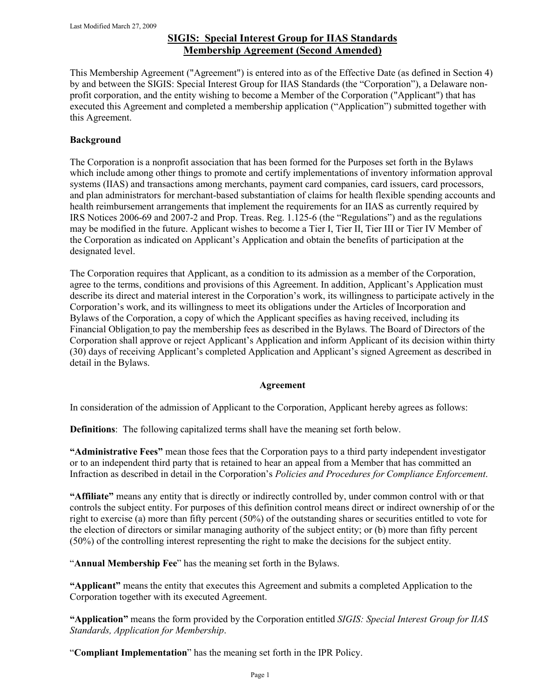# **SIGIS: Special Interest Group for IIAS Standards Membership Agreement (Second Amended)**

This Membership Agreement ("Agreement") is entered into as of the Effective Date (as defined in Section 4) by and between the SIGIS: Special Interest Group for IIAS Standards (the "Corporation"), a Delaware nonprofit corporation, and the entity wishing to become a Member of the Corporation ("Applicant") that has executed this Agreement and completed a membership application ("Application") submitted together with this Agreement.

### **Background**

The Corporation is a nonprofit association that has been formed for the Purposes set forth in the Bylaws which include among other things to promote and certify implementations of inventory information approval systems (IIAS) and transactions among merchants, payment card companies, card issuers, card processors, and plan administrators for merchant-based substantiation of claims for health flexible spending accounts and health reimbursement arrangements that implement the requirements for an IIAS as currently required by IRS Notices 2006-69 and 2007-2 and Prop. Treas. Reg. 1.125-6 (the "Regulations") and as the regulations may be modified in the future. Applicant wishes to become a Tier I, Tier II, Tier III or Tier IV Member of the Corporation as indicated on Applicant's Application and obtain the benefits of participation at the designated level.

The Corporation requires that Applicant, as a condition to its admission as a member of the Corporation, agree to the terms, conditions and provisions of this Agreement. In addition, Applicant's Application must describe its direct and material interest in the Corporation's work, its willingness to participate actively in the Corporation's work, and its willingness to meet its obligations under the Articles of Incorporation and Bylaws of the Corporation, a copy of which the Applicant specifies as having received, including its Financial Obligation to pay the membership fees as described in the Bylaws. The Board of Directors of the Corporation shall approve or reject Applicant's Application and inform Applicant of its decision within thirty (30) days of receiving Applicant's completed Application and Applicant's signed Agreement as described in detail in the Bylaws.

#### **Agreement**

In consideration of the admission of Applicant to the Corporation, Applicant hereby agrees as follows:

**Definitions**: The following capitalized terms shall have the meaning set forth below.

**"Administrative Fees"** mean those fees that the Corporation pays to a third party independent investigator or to an independent third party that is retained to hear an appeal from a Member that has committed an Infraction as described in detail in the Corporation's *Policies and Procedures for Compliance Enforcement*.

**"Affiliate"** means any entity that is directly or indirectly controlled by, under common control with or that controls the subject entity. For purposes of this definition control means direct or indirect ownership of or the right to exercise (a) more than fifty percent (50%) of the outstanding shares or securities entitled to vote for the election of directors or similar managing authority of the subject entity; or (b) more than fifty percent (50%) of the controlling interest representing the right to make the decisions for the subject entity.

"**Annual Membership Fee**" has the meaning set forth in the Bylaws.

**"Applicant"** means the entity that executes this Agreement and submits a completed Application to the Corporation together with its executed Agreement.

**"Application"** means the form provided by the Corporation entitled *SIGIS: Special Interest Group for IIAS Standards, Application for Membership*.

"**Compliant Implementation**" has the meaning set forth in the IPR Policy.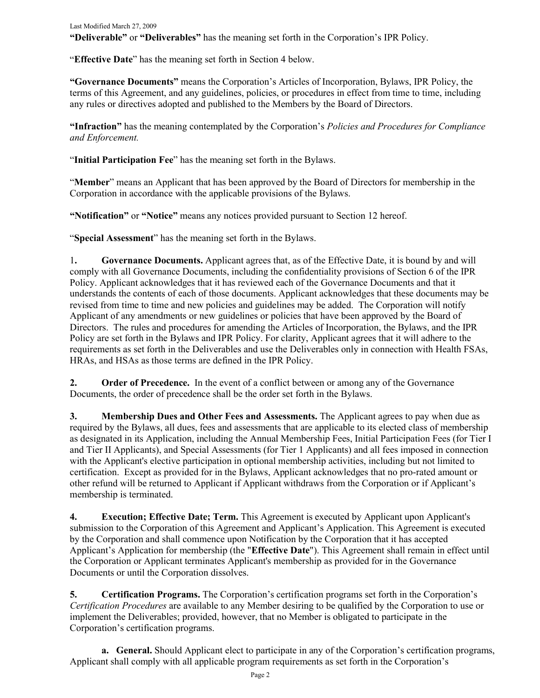Last Modified March 27, 2009 **"Deliverable"** or **"Deliverables"** has the meaning set forth in the Corporation's IPR Policy.

"**Effective Date**" has the meaning set forth in Section 4 below.

**"Governance Documents"** means the Corporation's Articles of Incorporation, Bylaws, IPR Policy, the terms of this Agreement, and any guidelines, policies, or procedures in effect from time to time, including any rules or directives adopted and published to the Members by the Board of Directors.

**"Infraction"** has the meaning contemplated by the Corporation's *Policies and Procedures for Compliance and Enforcement.*

"**Initial Participation Fee**" has the meaning set forth in the Bylaws.

"**Member**" means an Applicant that has been approved by the Board of Directors for membership in the Corporation in accordance with the applicable provisions of the Bylaws.

**"Notification"** or **"Notice"** means any notices provided pursuant to Section 12 hereof.

"**Special Assessment**" has the meaning set forth in the Bylaws.

1**. Governance Documents.** Applicant agrees that, as of the Effective Date, it is bound by and will comply with all Governance Documents, including the confidentiality provisions of Section 6 of the IPR Policy. Applicant acknowledges that it has reviewed each of the Governance Documents and that it understands the contents of each of those documents. Applicant acknowledges that these documents may be revised from time to time and new policies and guidelines may be added. The Corporation will notify Applicant of any amendments or new guidelines or policies that have been approved by the Board of Directors. The rules and procedures for amending the Articles of Incorporation, the Bylaws, and the IPR Policy are set forth in the Bylaws and IPR Policy. For clarity, Applicant agrees that it will adhere to the requirements as set forth in the Deliverables and use the Deliverables only in connection with Health FSAs, HRAs, and HSAs as those terms are defined in the IPR Policy.

**2.** Order of Precedence. In the event of a conflict between or among any of the Governance Documents, the order of precedence shall be the order set forth in the Bylaws.

**3. Membership Dues and Other Fees and Assessments.** The Applicant agrees to pay when due as required by the Bylaws, all dues, fees and assessments that are applicable to its elected class of membership as designated in its Application, including the Annual Membership Fees, Initial Participation Fees (for Tier I and Tier II Applicants), and Special Assessments (for Tier 1 Applicants) and all fees imposed in connection with the Applicant's elective participation in optional membership activities, including but not limited to certification. Except as provided for in the Bylaws, Applicant acknowledges that no pro-rated amount or other refund will be returned to Applicant if Applicant withdraws from the Corporation or if Applicant's membership is terminated.

**4. Execution; Effective Date; Term.** This Agreement is executed by Applicant upon Applicant's submission to the Corporation of this Agreement and Applicant's Application. This Agreement is executed by the Corporation and shall commence upon Notification by the Corporation that it has accepted Applicant's Application for membership (the "**Effective Date**"). This Agreement shall remain in effect until the Corporation or Applicant terminates Applicant's membership as provided for in the Governance Documents or until the Corporation dissolves.

**5. Certification Programs.** The Corporation's certification programs set forth in the Corporation's *Certification Procedures* are available to any Member desiring to be qualified by the Corporation to use or implement the Deliverables; provided, however, that no Member is obligated to participate in the Corporation's certification programs.

**a. General.** Should Applicant elect to participate in any of the Corporation's certification programs, Applicant shall comply with all applicable program requirements as set forth in the Corporation's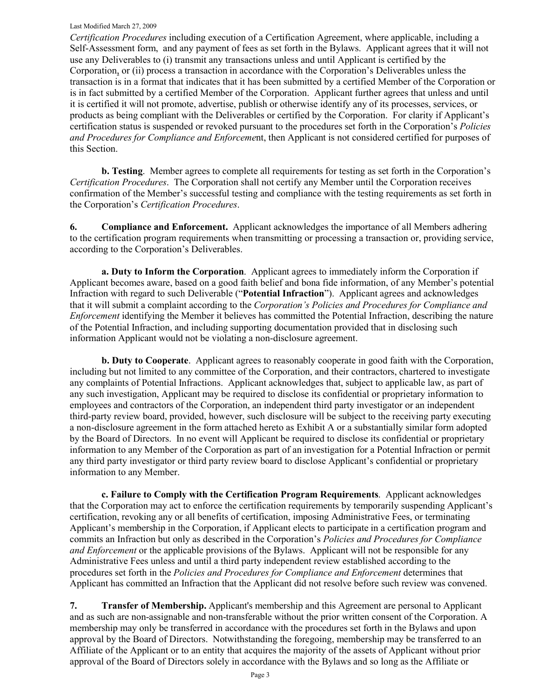#### Last Modified March 27, 2009

*Certification Procedures* including execution of a Certification Agreement, where applicable, including a Self-Assessment form, and any payment of fees as set forth in the Bylaws. Applicant agrees that it will not use any Deliverables to (i) transmit any transactions unless and until Applicant is certified by the Corporation, or (ii) process a transaction in accordance with the Corporation's Deliverables unless the transaction is in a format that indicates that it has been submitted by a certified Member of the Corporation or is in fact submitted by a certified Member of the Corporation. Applicant further agrees that unless and until it is certified it will not promote, advertise, publish or otherwise identify any of its processes, services, or products as being compliant with the Deliverables or certified by the Corporation. For clarity if Applicant's certification status is suspended or revoked pursuant to the procedures set forth in the Corporation's *Policies and Procedures for Compliance and Enforceme*nt, then Applicant is not considered certified for purposes of this Section.

**b. Testing**. Member agrees to complete all requirements for testing as set forth in the Corporation's *Certification Procedures*. The Corporation shall not certify any Member until the Corporation receives confirmation of the Member's successful testing and compliance with the testing requirements as set forth in the Corporation's *Certification Procedures*.

**6. Compliance and Enforcement.** Applicant acknowledges the importance of all Members adhering to the certification program requirements when transmitting or processing a transaction or, providing service, according to the Corporation's Deliverables.

**a. Duty to Inform the Corporation**. Applicant agrees to immediately inform the Corporation if Applicant becomes aware, based on a good faith belief and bona fide information, of any Member's potential Infraction with regard to such Deliverable ("**Potential Infraction**"). Applicant agrees and acknowledges that it will submit a complaint according to the *Corporation's Policies and Procedures for Compliance and Enforcement* identifying the Member it believes has committed the Potential Infraction, describing the nature of the Potential Infraction, and including supporting documentation provided that in disclosing such information Applicant would not be violating a non-disclosure agreement.

**b. Duty to Cooperate**. Applicant agrees to reasonably cooperate in good faith with the Corporation, including but not limited to any committee of the Corporation, and their contractors, chartered to investigate any complaints of Potential Infractions. Applicant acknowledges that, subject to applicable law, as part of any such investigation, Applicant may be required to disclose its confidential or proprietary information to employees and contractors of the Corporation, an independent third party investigator or an independent third-party review board, provided, however, such disclosure will be subject to the receiving party executing a non-disclosure agreement in the form attached hereto as Exhibit A or a substantially similar form adopted by the Board of Directors. In no event will Applicant be required to disclose its confidential or proprietary information to any Member of the Corporation as part of an investigation for a Potential Infraction or permit any third party investigator or third party review board to disclose Applicant's confidential or proprietary information to any Member.

**c. Failure to Comply with the Certification Program Requirements**. Applicant acknowledges that the Corporation may act to enforce the certification requirements by temporarily suspending Applicant's certification, revoking any or all benefits of certification, imposing Administrative Fees, or terminating Applicant's membership in the Corporation, if Applicant elects to participate in a certification program and commits an Infraction but only as described in the Corporation's *Policies and Procedures for Compliance and Enforcement* or the applicable provisions of the Bylaws. Applicant will not be responsible for any Administrative Fees unless and until a third party independent review established according to the procedures set forth in the *Policies and Procedures for Compliance and Enforcement* determines that Applicant has committed an Infraction that the Applicant did not resolve before such review was convened.

**7. Transfer of Membership.** Applicant's membership and this Agreement are personal to Applicant and as such are non-assignable and non-transferable without the prior written consent of the Corporation. A membership may only be transferred in accordance with the procedures set forth in the Bylaws and upon approval by the Board of Directors. Notwithstanding the foregoing, membership may be transferred to an Affiliate of the Applicant or to an entity that acquires the majority of the assets of Applicant without prior approval of the Board of Directors solely in accordance with the Bylaws and so long as the Affiliate or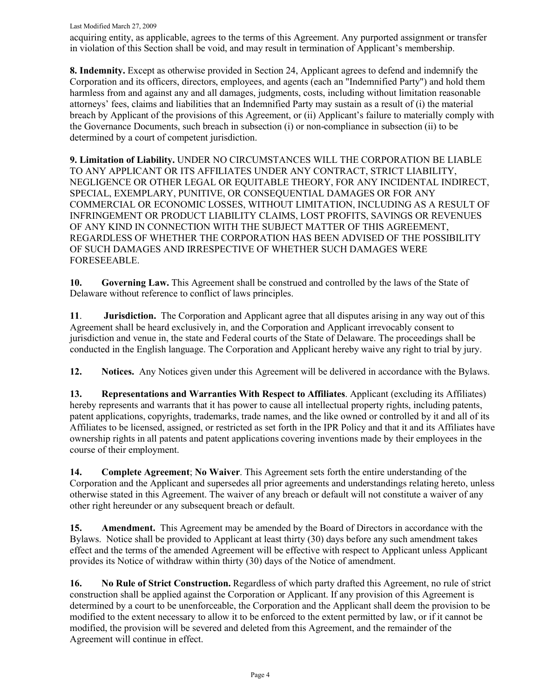Last Modified March 27, 2009

acquiring entity, as applicable, agrees to the terms of this Agreement. Any purported assignment or transfer in violation of this Section shall be void, and may result in termination of Applicant's membership.

**8. Indemnity.** Except as otherwise provided in Section 24, Applicant agrees to defend and indemnify the Corporation and its officers, directors, employees, and agents (each an "Indemnified Party") and hold them harmless from and against any and all damages, judgments, costs, including without limitation reasonable attorneys' fees, claims and liabilities that an Indemnified Party may sustain as a result of (i) the material breach by Applicant of the provisions of this Agreement, or (ii) Applicant's failure to materially comply with the Governance Documents, such breach in subsection (i) or non-compliance in subsection (ii) to be determined by a court of competent jurisdiction.

**9. Limitation of Liability.** UNDER NO CIRCUMSTANCES WILL THE CORPORATION BE LIABLE TO ANY APPLICANT OR ITS AFFILIATES UNDER ANY CONTRACT, STRICT LIABILITY, NEGLIGENCE OR OTHER LEGAL OR EQUITABLE THEORY, FOR ANY INCIDENTAL INDIRECT, SPECIAL, EXEMPLARY, PUNITIVE, OR CONSEQUENTIAL DAMAGES OR FOR ANY COMMERCIAL OR ECONOMIC LOSSES, WITHOUT LIMITATION, INCLUDING AS A RESULT OF INFRINGEMENT OR PRODUCT LIABILITY CLAIMS, LOST PROFITS, SAVINGS OR REVENUES OF ANY KIND IN CONNECTION WITH THE SUBJECT MATTER OF THIS AGREEMENT, REGARDLESS OF WHETHER THE CORPORATION HAS BEEN ADVISED OF THE POSSIBILITY OF SUCH DAMAGES AND IRRESPECTIVE OF WHETHER SUCH DAMAGES WERE FORESEEABLE.

**10. Governing Law.** This Agreement shall be construed and controlled by the laws of the State of Delaware without reference to conflict of laws principles.

**11**. **Jurisdiction.** The Corporation and Applicant agree that all disputes arising in any way out of this Agreement shall be heard exclusively in, and the Corporation and Applicant irrevocably consent to jurisdiction and venue in, the state and Federal courts of the State of Delaware. The proceedings shall be conducted in the English language. The Corporation and Applicant hereby waive any right to trial by jury.

**12. Notices.** Any Notices given under this Agreement will be delivered in accordance with the Bylaws.

**13. Representations and Warranties With Respect to Affiliates**. Applicant (excluding its Affiliates) hereby represents and warrants that it has power to cause all intellectual property rights, including patents, patent applications, copyrights, trademarks, trade names, and the like owned or controlled by it and all of its Affiliates to be licensed, assigned, or restricted as set forth in the IPR Policy and that it and its Affiliates have ownership rights in all patents and patent applications covering inventions made by their employees in the course of their employment.

**14. Complete Agreement**; **No Waiver**. This Agreement sets forth the entire understanding of the Corporation and the Applicant and supersedes all prior agreements and understandings relating hereto, unless otherwise stated in this Agreement. The waiver of any breach or default will not constitute a waiver of any other right hereunder or any subsequent breach or default.

**15. Amendment.** This Agreement may be amended by the Board of Directors in accordance with the Bylaws. Notice shall be provided to Applicant at least thirty (30) days before any such amendment takes effect and the terms of the amended Agreement will be effective with respect to Applicant unless Applicant provides its Notice of withdraw within thirty (30) days of the Notice of amendment.

**16. No Rule of Strict Construction.** Regardless of which party drafted this Agreement, no rule of strict construction shall be applied against the Corporation or Applicant. If any provision of this Agreement is determined by a court to be unenforceable, the Corporation and the Applicant shall deem the provision to be modified to the extent necessary to allow it to be enforced to the extent permitted by law, or if it cannot be modified, the provision will be severed and deleted from this Agreement, and the remainder of the Agreement will continue in effect.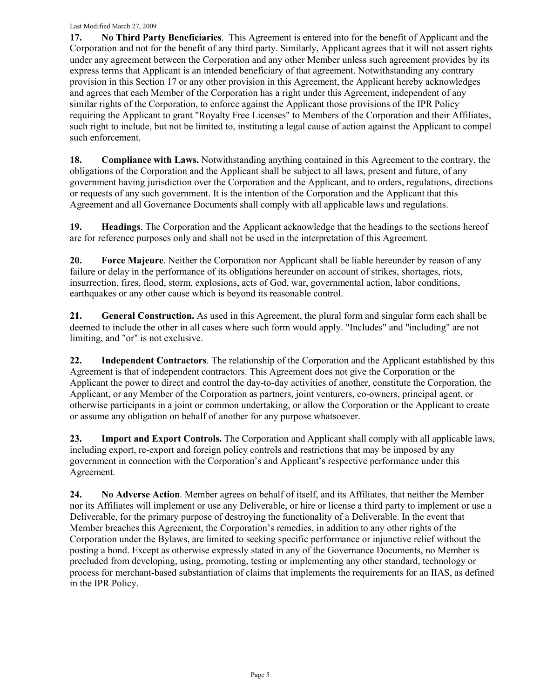**17. No Third Party Beneficiaries**. This Agreement is entered into for the benefit of Applicant and the Corporation and not for the benefit of any third party. Similarly, Applicant agrees that it will not assert rights under any agreement between the Corporation and any other Member unless such agreement provides by its express terms that Applicant is an intended beneficiary of that agreement. Notwithstanding any contrary provision in this Section 17 or any other provision in this Agreement, the Applicant hereby acknowledges and agrees that each Member of the Corporation has a right under this Agreement, independent of any similar rights of the Corporation, to enforce against the Applicant those provisions of the IPR Policy requiring the Applicant to grant "Royalty Free Licenses" to Members of the Corporation and their Affiliates, such right to include, but not be limited to, instituting a legal cause of action against the Applicant to compel such enforcement.

**18.** Compliance with Laws. Notwithstanding anything contained in this Agreement to the contrary, the obligations of the Corporation and the Applicant shall be subject to all laws, present and future, of any government having jurisdiction over the Corporation and the Applicant, and to orders, regulations, directions or requests of any such government. It is the intention of the Corporation and the Applicant that this Agreement and all Governance Documents shall comply with all applicable laws and regulations.

**19. Headings**. The Corporation and the Applicant acknowledge that the headings to the sections hereof are for reference purposes only and shall not be used in the interpretation of this Agreement.

**20. Force Majeure**. Neither the Corporation nor Applicant shall be liable hereunder by reason of any failure or delay in the performance of its obligations hereunder on account of strikes, shortages, riots, insurrection, fires, flood, storm, explosions, acts of God, war, governmental action, labor conditions, earthquakes or any other cause which is beyond its reasonable control.

**21. General Construction.** As used in this Agreement, the plural form and singular form each shall be deemed to include the other in all cases where such form would apply. "Includes" and "including" are not limiting, and "or" is not exclusive.

**22. Independent Contractors**. The relationship of the Corporation and the Applicant established by this Agreement is that of independent contractors. This Agreement does not give the Corporation or the Applicant the power to direct and control the day-to-day activities of another, constitute the Corporation, the Applicant, or any Member of the Corporation as partners, joint venturers, co-owners, principal agent, or otherwise participants in a joint or common undertaking, or allow the Corporation or the Applicant to create or assume any obligation on behalf of another for any purpose whatsoever.

**23. Import and Export Controls.** The Corporation and Applicant shall comply with all applicable laws, including export, re-export and foreign policy controls and restrictions that may be imposed by any government in connection with the Corporation's and Applicant's respective performance under this Agreement.

**24. No Adverse Action**. Member agrees on behalf of itself, and its Affiliates, that neither the Member nor its Affiliates will implement or use any Deliverable, or hire or license a third party to implement or use a Deliverable, for the primary purpose of destroying the functionality of a Deliverable. In the event that Member breaches this Agreement, the Corporation's remedies, in addition to any other rights of the Corporation under the Bylaws, are limited to seeking specific performance or injunctive relief without the posting a bond. Except as otherwise expressly stated in any of the Governance Documents, no Member is precluded from developing, using, promoting, testing or implementing any other standard, technology or process for merchant-based substantiation of claims that implements the requirements for an IIAS, as defined in the IPR Policy.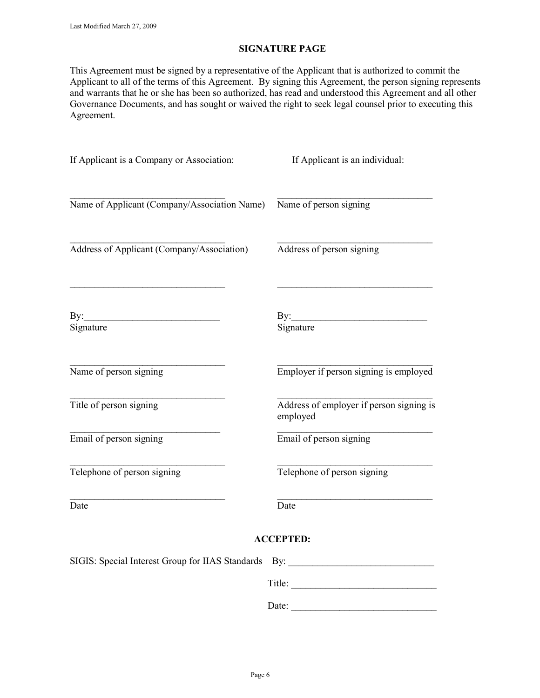### **SIGNATURE PAGE**

This Agreement must be signed by a representative of the Applicant that is authorized to commit the Applicant to all of the terms of this Agreement. By signing this Agreement, the person signing represents and warrants that he or she has been so authorized, has read and understood this Agreement and all other Governance Documents, and has sought or waived the right to seek legal counsel prior to executing this Agreement.

| If Applicant is a Company or Association:                                        | If Applicant is an individual:                       |
|----------------------------------------------------------------------------------|------------------------------------------------------|
| Name of Applicant (Company/Association Name)                                     | Name of person signing                               |
| Address of Applicant (Company/Association)                                       | Address of person signing                            |
| By: $\qquad \qquad$<br>Signature                                                 | By: $\qquad \qquad$<br>Signature                     |
| Name of person signing                                                           | Employer if person signing is employed               |
| Title of person signing                                                          | Address of employer if person signing is<br>employed |
| Email of person signing                                                          | Email of person signing                              |
| Telephone of person signing                                                      | Telephone of person signing                          |
| Date                                                                             | Date                                                 |
|                                                                                  | <b>ACCEPTED:</b>                                     |
| SIGIS: Special Interest Group for IIAS Standards By: ___________________________ |                                                      |
|                                                                                  | Title:                                               |
|                                                                                  | Date:                                                |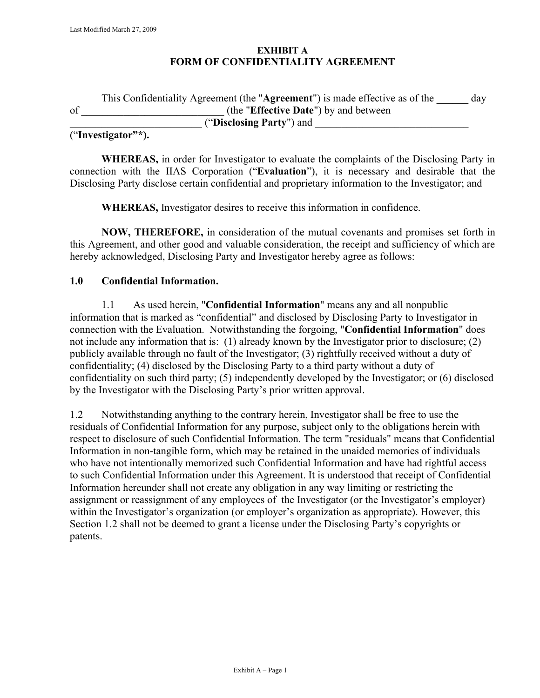## **EXHIBIT A FORM OF CONFIDENTIALITY AGREEMENT**

|          | This Confidentiality Agreement (the "Agreement") is made effective as of the | day |
|----------|------------------------------------------------------------------------------|-----|
| of       | (the "Effective Date") by and between                                        |     |
|          | ("Disclosing Party") and                                                     |     |
| $\alpha$ |                                                                              |     |

## ("**Investigator"\*).**

**WHEREAS,** in order for Investigator to evaluate the complaints of the Disclosing Party in connection with the IIAS Corporation ("**Evaluation**"), it is necessary and desirable that the Disclosing Party disclose certain confidential and proprietary information to the Investigator; and

**WHEREAS,** Investigator desires to receive this information in confidence.

**NOW, THEREFORE,** in consideration of the mutual covenants and promises set forth in this Agreement, and other good and valuable consideration, the receipt and sufficiency of which are hereby acknowledged, Disclosing Party and Investigator hereby agree as follows:

### **1.0 Confidential Information.**

1.1 As used herein, "**Confidential Information**" means any and all nonpublic information that is marked as "confidential" and disclosed by Disclosing Party to Investigator in connection with the Evaluation. Notwithstanding the forgoing, "**Confidential Information**" does not include any information that is: (1) already known by the Investigator prior to disclosure; (2) publicly available through no fault of the Investigator; (3) rightfully received without a duty of confidentiality; (4) disclosed by the Disclosing Party to a third party without a duty of confidentiality on such third party; (5) independently developed by the Investigator; or (6) disclosed by the Investigator with the Disclosing Party's prior written approval.

1.2 Notwithstanding anything to the contrary herein, Investigator shall be free to use the residuals of Confidential Information for any purpose, subject only to the obligations herein with respect to disclosure of such Confidential Information. The term "residuals" means that Confidential Information in non-tangible form, which may be retained in the unaided memories of individuals who have not intentionally memorized such Confidential Information and have had rightful access to such Confidential Information under this Agreement. It is understood that receipt of Confidential Information hereunder shall not create any obligation in any way limiting or restricting the assignment or reassignment of any employees of the Investigator (or the Investigator's employer) within the Investigator's organization (or employer's organization as appropriate). However, this Section 1.2 shall not be deemed to grant a license under the Disclosing Party's copyrights or patents.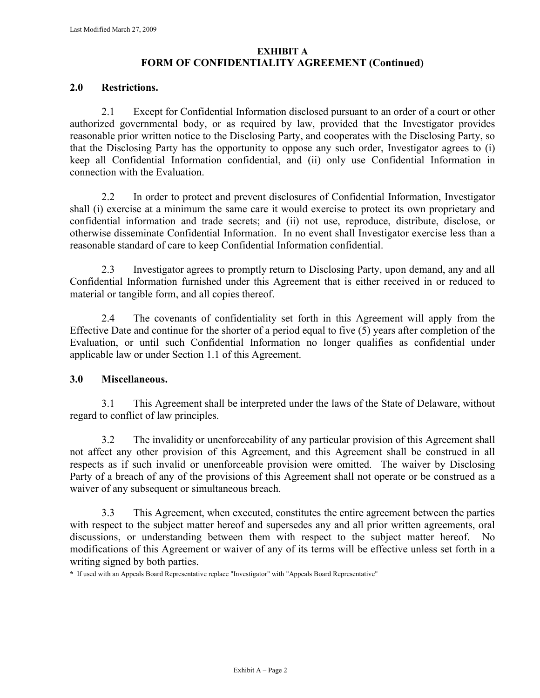# **EXHIBIT A FORM OF CONFIDENTIALITY AGREEMENT (Continued)**

## **2.0 Restrictions.**

2.1 Except for Confidential Information disclosed pursuant to an order of a court or other authorized governmental body, or as required by law, provided that the Investigator provides reasonable prior written notice to the Disclosing Party, and cooperates with the Disclosing Party, so that the Disclosing Party has the opportunity to oppose any such order, Investigator agrees to (i) keep all Confidential Information confidential, and (ii) only use Confidential Information in connection with the Evaluation.

2.2 In order to protect and prevent disclosures of Confidential Information, Investigator shall (i) exercise at a minimum the same care it would exercise to protect its own proprietary and confidential information and trade secrets; and (ii) not use, reproduce, distribute, disclose, or otherwise disseminate Confidential Information. In no event shall Investigator exercise less than a reasonable standard of care to keep Confidential Information confidential.

2.3 Investigator agrees to promptly return to Disclosing Party, upon demand, any and all Confidential Information furnished under this Agreement that is either received in or reduced to material or tangible form, and all copies thereof.

2.4 The covenants of confidentiality set forth in this Agreement will apply from the Effective Date and continue for the shorter of a period equal to five (5) years after completion of the Evaluation, or until such Confidential Information no longer qualifies as confidential under applicable law or under Section 1.1 of this Agreement.

## **3.0 Miscellaneous.**

3.1 This Agreement shall be interpreted under the laws of the State of Delaware, without regard to conflict of law principles.

3.2 The invalidity or unenforceability of any particular provision of this Agreement shall not affect any other provision of this Agreement, and this Agreement shall be construed in all respects as if such invalid or unenforceable provision were omitted. The waiver by Disclosing Party of a breach of any of the provisions of this Agreement shall not operate or be construed as a waiver of any subsequent or simultaneous breach.

3.3 This Agreement, when executed, constitutes the entire agreement between the parties with respect to the subject matter hereof and supersedes any and all prior written agreements, oral discussions, or understanding between them with respect to the subject matter hereof. No modifications of this Agreement or waiver of any of its terms will be effective unless set forth in a writing signed by both parties.

**\*** If used with an Appeals Board Representative replace "Investigator" with "Appeals Board Representative"